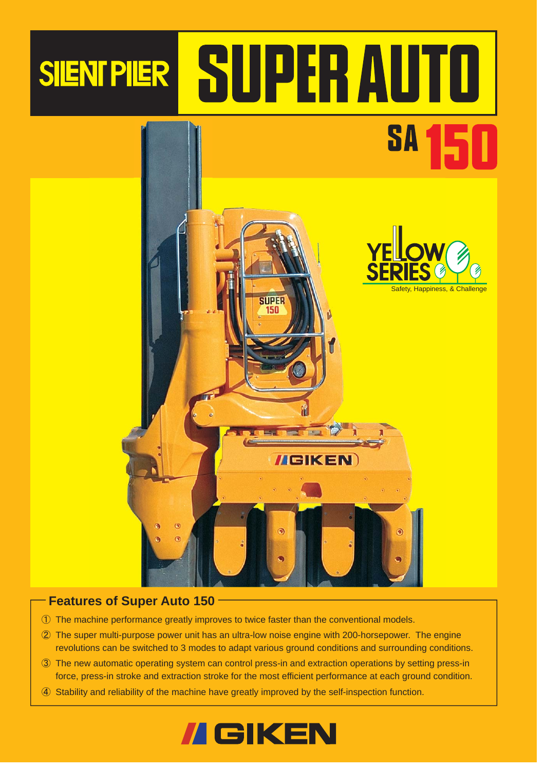# SIENTPIER SUPERAUTO



### **Features of Super Auto 150**

- 䐟 The machine performance greatly improves to twice faster than the conventional models.
- 䐠 The super multi-purpose power unit has an ultra-low noise engine with 200-horsepower. The engine revolutions can be switched to 3 modes to adapt various ground conditions and surrounding conditions.
- 䐡 The new automatic operating system can control press-in and extraction operations by setting press-in force, press-in stroke and extraction stroke for the most efficient performance at each ground condition.
- 䐢 Stability and reliability of the machine have greatly improved by the self-inspection function.